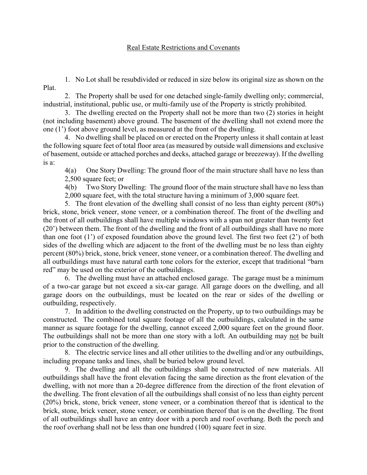## Real Estate Restrictions and Covenants

1. No Lot shall be resubdivided or reduced in size below its original size as shown on the Plat.

2. The Property shall be used for one detached single-family dwelling only; commercial, industrial, institutional, public use, or multi-family use of the Property is strictly prohibited.

3. The dwelling erected on the Property shall not be more than two (2) stories in height (not including basement) above ground. The basement of the dwelling shall not extend more the one (1') foot above ground level, as measured at the front of the dwelling.

4. No dwelling shall be placed on or erected on the Property unless it shall contain at least the following square feet of total floor area (as measured by outside wall dimensions and exclusive of basement, outside or attached porches and decks, attached garage or breezeway). If the dwelling is a:

4(a) One Story Dwelling: The ground floor of the main structure shall have no less than 2,500 square feet; or

4(b) Two Story Dwelling: The ground floor of the main structure shall have no less than 2,000 square feet, with the total structure having a minimum of 3,000 square feet.

5. The front elevation of the dwelling shall consist of no less than eighty percent (80%) brick, stone, brick veneer, stone veneer, or a combination thereof. The front of the dwelling and the front of all outbuildings shall have multiple windows with a span not greater than twenty feet (20') between them. The front of the dwelling and the front of all outbuildings shall have no more than one foot (1') of exposed foundation above the ground level. The first two feet (2') of both sides of the dwelling which are adjacent to the front of the dwelling must be no less than eighty percent (80%) brick, stone, brick veneer, stone veneer, or a combination thereof. The dwelling and all outbuildings must have natural earth tone colors for the exterior, except that traditional "barn red" may be used on the exterior of the outbuildings.

6. The dwelling must have an attached enclosed garage. The garage must be a minimum of a two-car garage but not exceed a six-car garage. All garage doors on the dwelling, and all garage doors on the outbuildings, must be located on the rear or sides of the dwelling or outbuilding, respectively.

7. In addition to the dwelling constructed on the Property, up to two outbuildings may be constructed. The combined total square footage of all the outbuildings, calculated in the same manner as square footage for the dwelling, cannot exceed 2,000 square feet on the ground floor. The outbuildings shall not be more than one story with a loft. An outbuilding may not be built prior to the construction of the dwelling.

8. The electric service lines and all other utilities to the dwelling and/or any outbuildings, including propane tanks and lines, shall be buried below ground level.

9. The dwelling and all the outbuildings shall be constructed of new materials. All outbuildings shall have the front elevation facing the same direction as the front elevation of the dwelling, with not more than a 20-degree difference from the direction of the front elevation of the dwelling. The front elevation of all the outbuildings shall consist of no less than eighty percent (20%) brick, stone, brick veneer, stone veneer, or a combination thereof that is identical to the brick, stone, brick veneer, stone veneer, or combination thereof that is on the dwelling. The front of all outbuildings shall have an entry door with a porch and roof overhang. Both the porch and the roof overhang shall not be less than one hundred (100) square feet in size.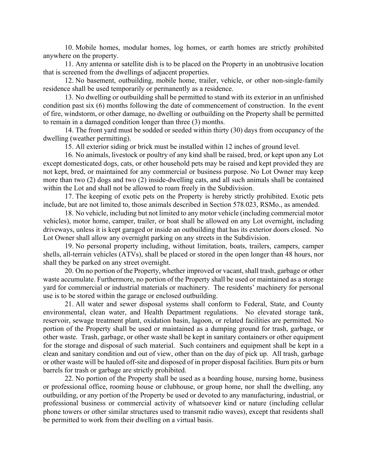10. Mobile homes, modular homes, log homes, or earth homes are strictly prohibited anywhere on the property.

11. Any antenna or satellite dish is to be placed on the Property in an unobtrusive location that is screened from the dwellings of adjacent properties.

12. No basement, outbuilding, mobile home, trailer, vehicle, or other non-single-family residence shall be used temporarily or permanently as a residence.

13. No dwelling or outbuilding shall be permitted to stand with its exterior in an unfinished condition past six (6) months following the date of commencement of construction. In the event of fire, windstorm, or other damage, no dwelling or outbuilding on the Property shall be permitted to remain in a damaged condition longer than three (3) months.

14. The front yard must be sodded or seeded within thirty (30) days from occupancy of the dwelling (weather permitting).

15. All exterior siding or brick must be installed within 12 inches of ground level.

16. No animals, livestock or poultry of any kind shall be raised, bred, or kept upon any Lot except domesticated dogs, cats, or other household pets may be raised and kept provided they are not kept, bred, or maintained for any commercial or business purpose. No Lot Owner may keep more than two (2) dogs and two (2) inside-dwelling cats, and all such animals shall be contained within the Lot and shall not be allowed to roam freely in the Subdivision.

17. The keeping of exotic pets on the Property is hereby strictly prohibited. Exotic pets include, but are not limited to, those animals described in Section 578.023, RSMo., as amended.

18. No vehicle, including but not limited to any motor vehicle (including commercial motor vehicles), motor home, camper, trailer, or boat shall be allowed on any Lot overnight, including driveways, unless it is kept garaged or inside an outbuilding that has its exterior doors closed. No Lot Owner shall allow any overnight parking on any streets in the Subdivision.

19. No personal property including, without limitation, boats, trailers, campers, camper shells, all-terrain vehicles (ATVs), shall be placed or stored in the open longer than 48 hours, nor shall they be parked on any street overnight.

20. On no portion of the Property, whether improved or vacant, shall trash, garbage or other waste accumulate. Furthermore, no portion of the Property shall be used or maintained as a storage yard for commercial or industrial materials or machinery. The residents' machinery for personal use is to be stored within the garage or enclosed outbuilding.

21. All water and sewer disposal systems shall conform to Federal, State, and County environmental, clean water, and Health Department regulations. No elevated storage tank, reservoir, sewage treatment plant, oxidation basin, lagoon, or related facilities are permitted. No portion of the Property shall be used or maintained as a dumping ground for trash, garbage, or other waste. Trash, garbage, or other waste shall be kept in sanitary containers or other equipment for the storage and disposal of such material. Such containers and equipment shall be kept in a clean and sanitary condition and out of view, other than on the day of pick up. All trash, garbage or other waste will be hauled off-site and disposed of in proper disposal facilities. Burn pits or burn barrels for trash or garbage are strictly prohibited.

22. No portion of the Property shall be used as a boarding house, nursing home, business or professional office, rooming house or clubhouse, or group home, nor shall the dwelling, any outbuilding, or any portion of the Property be used or devoted to any manufacturing, industrial, or professional business or commercial activity of whatsoever kind or nature (including cellular phone towers or other similar structures used to transmit radio waves), except that residents shall be permitted to work from their dwelling on a virtual basis.